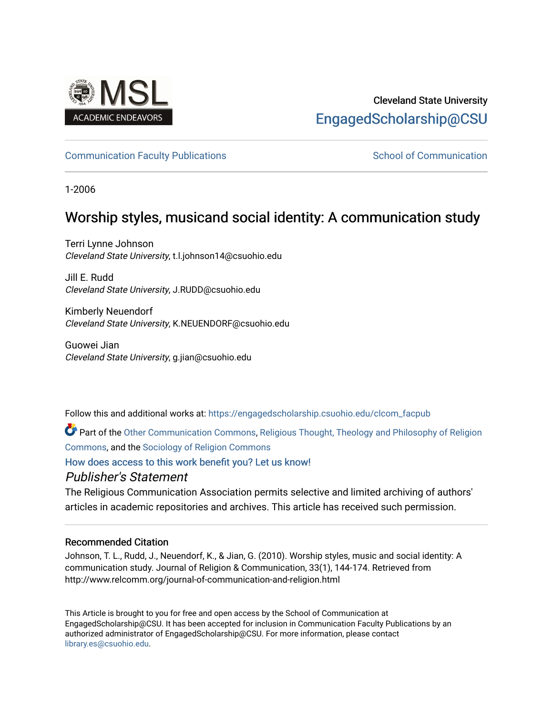

# Cleveland State University [EngagedScholarship@CSU](https://engagedscholarship.csuohio.edu/)

### [Communication Faculty Publications](https://engagedscholarship.csuohio.edu/clcom_facpub) [School of Communication](https://engagedscholarship.csuohio.edu/clcom) School of Communication

1-2006

# Worship styles, musicand social identity: A communication study

Terri Lynne Johnson Cleveland State University, t.l.johnson14@csuohio.edu

Jill E. Rudd Cleveland State University, J.RUDD@csuohio.edu

Kimberly Neuendorf Cleveland State University, K.NEUENDORF@csuohio.edu

Guowei Jian Cleveland State University, g.jian@csuohio.edu

Follow this and additional works at: [https://engagedscholarship.csuohio.edu/clcom\\_facpub](https://engagedscholarship.csuohio.edu/clcom_facpub?utm_source=engagedscholarship.csuohio.edu%2Fclcom_facpub%2F19&utm_medium=PDF&utm_campaign=PDFCoverPages) 

Part of the [Other Communication Commons](http://network.bepress.com/hgg/discipline/339?utm_source=engagedscholarship.csuohio.edu%2Fclcom_facpub%2F19&utm_medium=PDF&utm_campaign=PDFCoverPages), [Religious Thought, Theology and Philosophy of Religion](http://network.bepress.com/hgg/discipline/544?utm_source=engagedscholarship.csuohio.edu%2Fclcom_facpub%2F19&utm_medium=PDF&utm_campaign=PDFCoverPages)  [Commons](http://network.bepress.com/hgg/discipline/544?utm_source=engagedscholarship.csuohio.edu%2Fclcom_facpub%2F19&utm_medium=PDF&utm_campaign=PDFCoverPages), and the [Sociology of Religion Commons](http://network.bepress.com/hgg/discipline/1365?utm_source=engagedscholarship.csuohio.edu%2Fclcom_facpub%2F19&utm_medium=PDF&utm_campaign=PDFCoverPages) 

[How does access to this work benefit you? Let us know!](http://library.csuohio.edu/engaged/)

## Publisher's Statement

The Religious Communication Association permits selective and limited archiving of authors' articles in academic repositories and archives. This article has received such permission.

### Recommended Citation

Johnson, T. L., Rudd, J., Neuendorf, K., & Jian, G. (2010). Worship styles, music and social identity: A communication study. Journal of Religion & Communication, 33(1), 144-174. Retrieved from http://www.relcomm.org/journal-of-communication-and-religion.html

This Article is brought to you for free and open access by the School of Communication at EngagedScholarship@CSU. It has been accepted for inclusion in Communication Faculty Publications by an authorized administrator of EngagedScholarship@CSU. For more information, please contact [library.es@csuohio.edu.](mailto:library.es@csuohio.edu)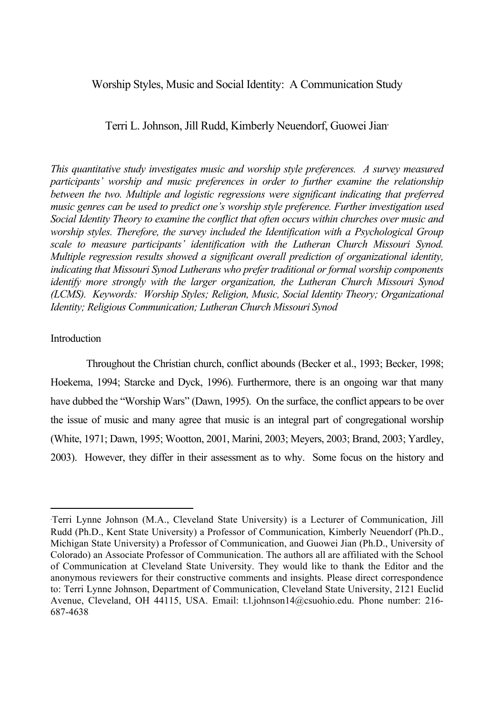#### Worship Styles, Music and Social Identity: A Communication Study

#### Terri L. Johnson, Jill Rudd, Kimberly Neuendorf, Guowei Jian<sup>∗</sup>

*This quantitative study investigates music and worship style preferences. A survey measured participants' worship and music preferences in order to further examine the relationship between the two. Multiple and logistic regressions were significant indicating that preferred music genres can be used to predict one's worship style preference. Further investigation used Social Identity Theory to examine the conflict that often occurs within churches over music and worship styles. Therefore, the survey included the Identification with a Psychological Group scale to measure participants' identification with the Lutheran Church Missouri Synod. Multiple regression results showed a significant overall prediction of organizational identity, indicating that Missouri Synod Lutherans who prefer traditional or formal worship components identify more strongly with the larger organization, the Lutheran Church Missouri Synod (LCMS). Keywords: Worship Styles; Religion, Music, Social Identity Theory; Organizational Identity; Religious Communication; Lutheran Church Missouri Synod*

#### Introduction

Throughout the Christian church, conflict abounds (Becker et al., 1993; Becker, 1998; Hoekema, 1994; Starcke and Dyck, 1996). Furthermore, there is an ongoing war that many have dubbed the "Worship Wars" (Dawn, 1995). On the surface, the conflict appears to be over the issue of music and many agree that music is an integral part of congregational worship (White, 1971; Dawn, 1995; Wootton, 2001, Marini, 2003; Meyers, 2003; Brand, 2003; Yardley, 2003). However, they differ in their assessment as to why. Some focus on the history and

<sup>∗</sup> Terri Lynne Johnson (M.A., Cleveland State University) is a Lecturer of Communication, Jill Rudd (Ph.D., Kent State University) a Professor of Communication, Kimberly Neuendorf (Ph.D., Michigan State University) a Professor of Communication, and Guowei Jian (Ph.D., University of Colorado) an Associate Professor of Communication. The authors all are affiliated with the School of Communication at Cleveland State University. They would like to thank the Editor and the anonymous reviewers for their constructive comments and insights. Please direct correspondence to: Terri Lynne Johnson, Department of Communication, Cleveland State University, 2121 Euclid Avenue, Cleveland, OH 44115, USA. Email: t.l.johnson14@csuohio.edu. Phone number: 216- 687-4638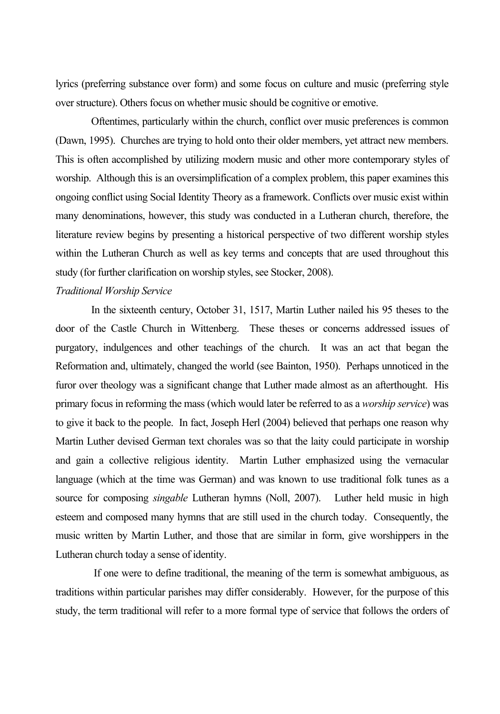lyrics (preferring substance over form) and some focus on culture and music (preferring style over structure). Others focus on whether music should be cognitive or emotive.

Oftentimes, particularly within the church, conflict over music preferences is common (Dawn, 1995). Churches are trying to hold onto their older members, yet attract new members. This is often accomplished by utilizing modern music and other more contemporary styles of worship. Although this is an oversimplification of a complex problem, this paper examines this ongoing conflict using Social Identity Theory as a framework. Conflicts over music exist within many denominations, however, this study was conducted in a Lutheran church, therefore, the literature review begins by presenting a historical perspective of two different worship styles within the Lutheran Church as well as key terms and concepts that are used throughout this study (for further clarification on worship styles, see Stocker, 2008).

#### *Traditional Worship Service*

In the sixteenth century, October 31, 1517, Martin Luther nailed his 95 theses to the door of the Castle Church in Wittenberg. These theses or concerns addressed issues of purgatory, indulgences and other teachings of the church. It was an act that began the Reformation and, ultimately, changed the world (see Bainton, 1950). Perhaps unnoticed in the furor over theology was a significant change that Luther made almost as an afterthought. His primary focus in reforming the mass (which would later be referred to as a *worship service*) was to give it back to the people. In fact, Joseph Herl (2004) believed that perhaps one reason why Martin Luther devised German text chorales was so that the laity could participate in worship and gain a collective religious identity. Martin Luther emphasized using the vernacular language (which at the time was German) and was known to use traditional folk tunes as a source for composing *singable* Lutheran hymns (Noll, 2007). Luther held music in high esteem and composed many hymns that are still used in the church today. Consequently, the music written by Martin Luther, and those that are similar in form, give worshippers in the Lutheran church today a sense of identity.

 If one were to define traditional, the meaning of the term is somewhat ambiguous, as traditions within particular parishes may differ considerably. However, for the purpose of this study, the term traditional will refer to a more formal type of service that follows the orders of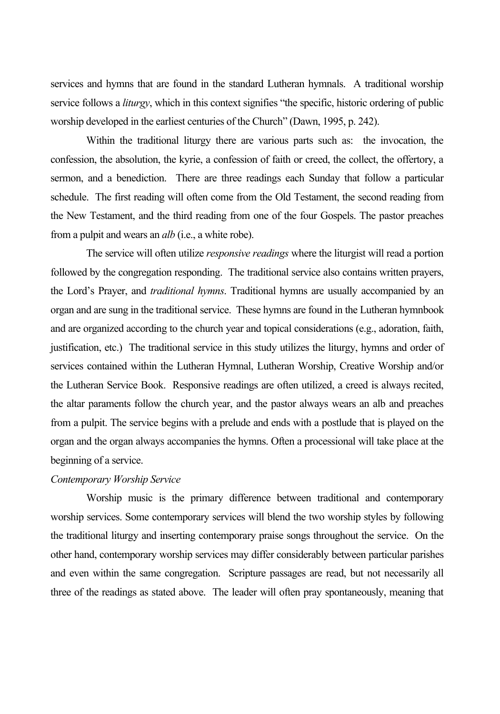services and hymns that are found in the standard Lutheran hymnals. A traditional worship service follows a *liturgy*, which in this context signifies "the specific, historic ordering of public worship developed in the earliest centuries of the Church" (Dawn, 1995, p. 242).

Within the traditional liturgy there are various parts such as: the invocation, the confession, the absolution, the kyrie, a confession of faith or creed, the collect, the offertory, a sermon, and a benediction. There are three readings each Sunday that follow a particular schedule. The first reading will often come from the Old Testament, the second reading from the New Testament, and the third reading from one of the four Gospels. The pastor preaches from a pulpit and wears an *alb* (i.e., a white robe).

The service will often utilize *responsive readings* where the liturgist will read a portion followed by the congregation responding. The traditional service also contains written prayers, the Lord's Prayer, and *traditional hymns*. Traditional hymns are usually accompanied by an organ and are sung in the traditional service. These hymns are found in the Lutheran hymnbook and are organized according to the church year and topical considerations (e.g., adoration, faith, justification, etc.) The traditional service in this study utilizes the liturgy, hymns and order of services contained within the Lutheran Hymnal, Lutheran Worship, Creative Worship and/or the Lutheran Service Book. Responsive readings are often utilized, a creed is always recited, the altar paraments follow the church year, and the pastor always wears an alb and preaches from a pulpit. The service begins with a prelude and ends with a postlude that is played on the organ and the organ always accompanies the hymns. Often a processional will take place at the beginning of a service.

#### *Contemporary Worship Service*

Worship music is the primary difference between traditional and contemporary worship services. Some contemporary services will blend the two worship styles by following the traditional liturgy and inserting contemporary praise songs throughout the service. On the other hand, contemporary worship services may differ considerably between particular parishes and even within the same congregation. Scripture passages are read, but not necessarily all three of the readings as stated above. The leader will often pray spontaneously, meaning that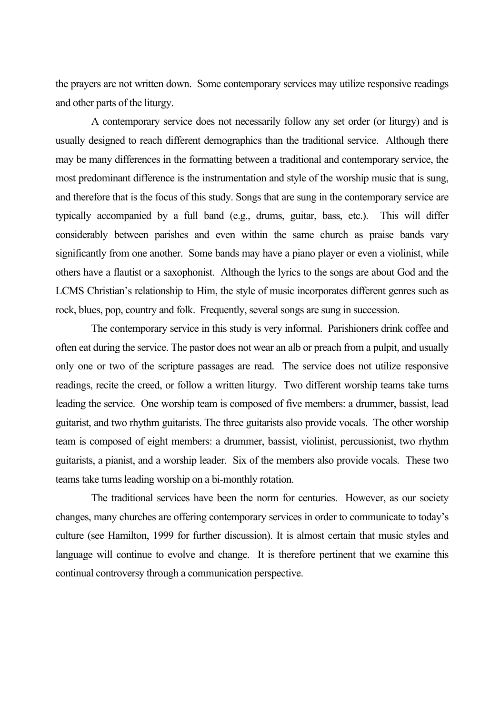the prayers are not written down. Some contemporary services may utilize responsive readings and other parts of the liturgy.

A contemporary service does not necessarily follow any set order (or liturgy) and is usually designed to reach different demographics than the traditional service. Although there may be many differences in the formatting between a traditional and contemporary service, the most predominant difference is the instrumentation and style of the worship music that is sung, and therefore that is the focus of this study. Songs that are sung in the contemporary service are typically accompanied by a full band (e.g., drums, guitar, bass, etc.). This will differ considerably between parishes and even within the same church as praise bands vary significantly from one another. Some bands may have a piano player or even a violinist, while others have a flautist or a saxophonist. Although the lyrics to the songs are about God and the LCMS Christian's relationship to Him, the style of music incorporates different genres such as rock, blues, pop, country and folk. Frequently, several songs are sung in succession.

The contemporary service in this study is very informal. Parishioners drink coffee and often eat during the service. The pastor does not wear an alb or preach from a pulpit, and usually only one or two of the scripture passages are read. The service does not utilize responsive readings, recite the creed, or follow a written liturgy. Two different worship teams take turns leading the service. One worship team is composed of five members: a drummer, bassist, lead guitarist, and two rhythm guitarists. The three guitarists also provide vocals. The other worship team is composed of eight members: a drummer, bassist, violinist, percussionist, two rhythm guitarists, a pianist, and a worship leader. Six of the members also provide vocals. These two teams take turns leading worship on a bi-monthly rotation.

The traditional services have been the norm for centuries. However, as our society changes, many churches are offering contemporary services in order to communicate to today's culture (see Hamilton, 1999 for further discussion). It is almost certain that music styles and language will continue to evolve and change. It is therefore pertinent that we examine this continual controversy through a communication perspective.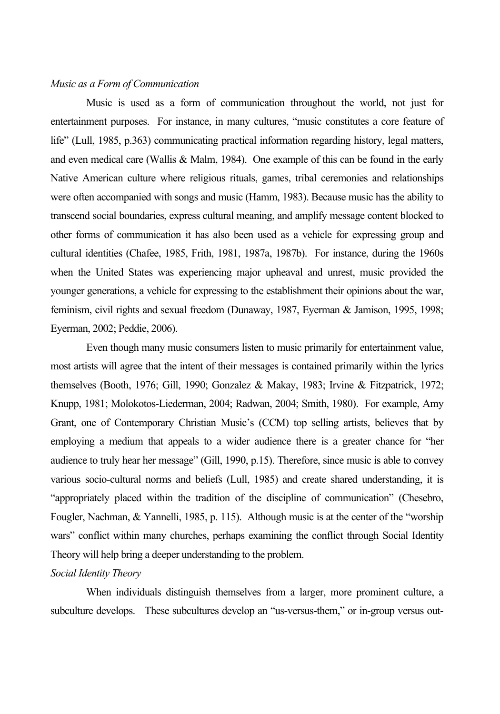#### *Music as a Form of Communication*

Music is used as a form of communication throughout the world, not just for entertainment purposes. For instance, in many cultures, "music constitutes a core feature of life" (Lull, 1985, p.363) communicating practical information regarding history, legal matters, and even medical care (Wallis & Malm, 1984). One example of this can be found in the early Native American culture where religious rituals, games, tribal ceremonies and relationships were often accompanied with songs and music (Hamm, 1983). Because music has the ability to transcend social boundaries, express cultural meaning, and amplify message content blocked to other forms of communication it has also been used as a vehicle for expressing group and cultural identities (Chafee, 1985, Frith, 1981, 1987a, 1987b). For instance, during the 1960s when the United States was experiencing major upheaval and unrest, music provided the younger generations, a vehicle for expressing to the establishment their opinions about the war, feminism, civil rights and sexual freedom (Dunaway, 1987, Eyerman & Jamison, 1995, 1998; Eyerman, 2002; Peddie, 2006).

Even though many music consumers listen to music primarily for entertainment value, most artists will agree that the intent of their messages is contained primarily within the lyrics themselves (Booth, 1976; Gill, 1990; Gonzalez & Makay, 1983; Irvine & Fitzpatrick, 1972; Knupp, 1981; Molokotos-Liederman, 2004; Radwan, 2004; Smith, 1980). For example, Amy Grant, one of Contemporary Christian Music's (CCM) top selling artists, believes that by employing a medium that appeals to a wider audience there is a greater chance for "her audience to truly hear her message" (Gill, 1990, p.15). Therefore, since music is able to convey various socio-cultural norms and beliefs (Lull, 1985) and create shared understanding, it is "appropriately placed within the tradition of the discipline of communication" (Chesebro, Fougler, Nachman, & Yannelli, 1985, p. 115). Although music is at the center of the "worship wars" conflict within many churches, perhaps examining the conflict through Social Identity Theory will help bring a deeper understanding to the problem.

#### *Social Identity Theory*

When individuals distinguish themselves from a larger, more prominent culture, a subculture develops. These subcultures develop an "us-versus-them," or in-group versus out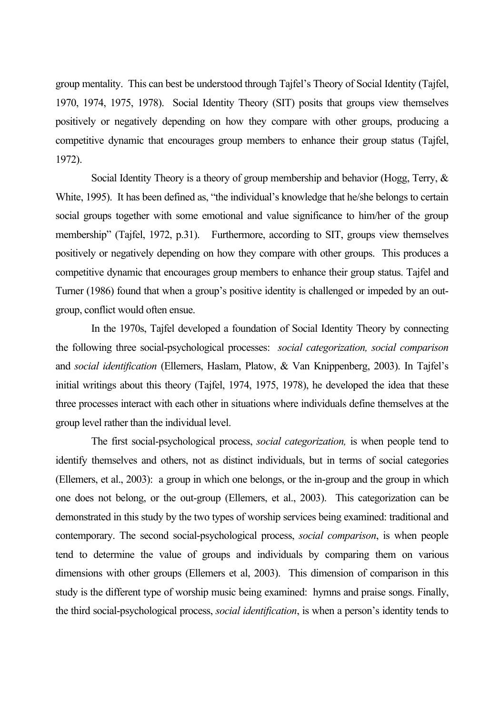group mentality. This can best be understood through Tajfel's Theory of Social Identity (Tajfel, 1970, 1974, 1975, 1978). Social Identity Theory (SIT) posits that groups view themselves positively or negatively depending on how they compare with other groups, producing a competitive dynamic that encourages group members to enhance their group status (Tajfel, 1972).

Social Identity Theory is a theory of group membership and behavior (Hogg, Terry, & White, 1995). It has been defined as, "the individual's knowledge that he/she belongs to certain social groups together with some emotional and value significance to him/her of the group membership" (Tajfel, 1972, p.31). Furthermore, according to SIT, groups view themselves positively or negatively depending on how they compare with other groups. This produces a competitive dynamic that encourages group members to enhance their group status. Tajfel and Turner (1986) found that when a group's positive identity is challenged or impeded by an outgroup, conflict would often ensue.

In the 1970s, Tajfel developed a foundation of Social Identity Theory by connecting the following three social-psychological processes: *social categorization, social comparison*  and *social identification* (Ellemers, Haslam, Platow, & Van Knippenberg, 2003). In Tajfel's initial writings about this theory (Tajfel, 1974, 1975, 1978), he developed the idea that these three processes interact with each other in situations where individuals define themselves at the group level rather than the individual level.

The first social-psychological process, *social categorization,* is when people tend to identify themselves and others, not as distinct individuals, but in terms of social categories (Ellemers, et al., 2003): a group in which one belongs, or the in-group and the group in which one does not belong, or the out-group (Ellemers, et al., 2003). This categorization can be demonstrated in this study by the two types of worship services being examined: traditional and contemporary. The second social-psychological process, *social comparison*, is when people tend to determine the value of groups and individuals by comparing them on various dimensions with other groups (Ellemers et al, 2003). This dimension of comparison in this study is the different type of worship music being examined: hymns and praise songs. Finally, the third social-psychological process, *social identification*, is when a person's identity tends to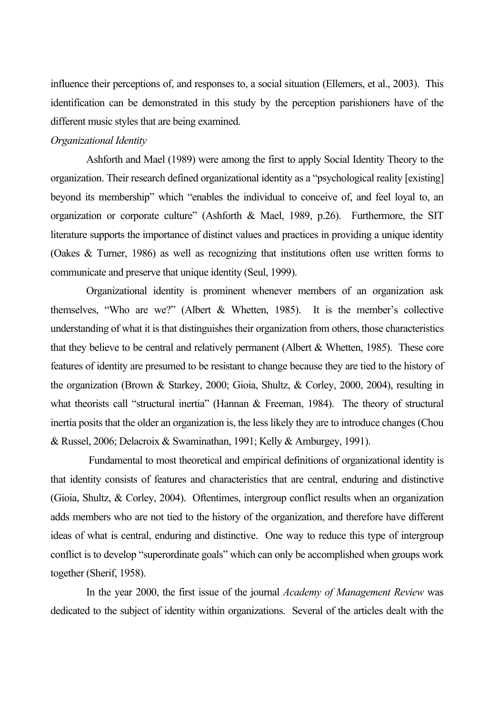influence their perceptions of, and responses to, a social situation (Ellemers, et al., 2003). This identification can be demonstrated in this study by the perception parishioners have of the different music styles that are being examined.

#### *Organizational Identity*

Ashforth and Mael (1989) were among the first to apply Social Identity Theory to the organization. Their research defined organizational identity as a "psychological reality [existing] beyond its membership" which "enables the individual to conceive of, and feel loyal to, an organization or corporate culture" (Ashforth & Mael, 1989, p.26). Furthermore, the SIT literature supports the importance of distinct values and practices in providing a unique identity (Oakes & Turner, 1986) as well as recognizing that institutions often use written forms to communicate and preserve that unique identity (Seul, 1999).

Organizational identity is prominent whenever members of an organization ask themselves, "Who are we?" (Albert & Whetten, 1985). It is the member's collective understanding of what it is that distinguishes their organization from others, those characteristics that they believe to be central and relatively permanent (Albert & Whetten, 1985). These core features of identity are presumed to be resistant to change because they are tied to the history of the organization (Brown & Starkey, 2000; Gioia, Shultz, & Corley, 2000, 2004), resulting in what theorists call "structural inertia" (Hannan & Freeman, 1984). The theory of structural inertia posits that the older an organization is, the less likely they are to introduce changes (Chou & Russel, 2006; Delacroix & Swaminathan, 1991; Kelly & Amburgey, 1991).

 Fundamental to most theoretical and empirical definitions of organizational identity is that identity consists of features and characteristics that are central, enduring and distinctive (Gioia, Shultz, & Corley, 2004). Oftentimes, intergroup conflict results when an organization adds members who are not tied to the history of the organization, and therefore have different ideas of what is central, enduring and distinctive. One way to reduce this type of intergroup conflict is to develop "superordinate goals" which can only be accomplished when groups work together (Sherif, 1958).

In the year 2000, the first issue of the journal *Academy of Management Review* was dedicated to the subject of identity within organizations. Several of the articles dealt with the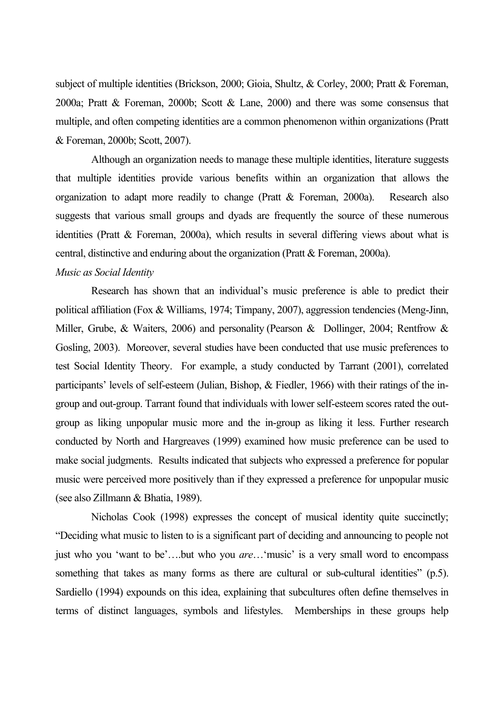subject of multiple identities (Brickson, 2000; Gioia, Shultz, & Corley, 2000; Pratt & Foreman, 2000a; Pratt & Foreman, 2000b; Scott & Lane, 2000) and there was some consensus that multiple, and often competing identities are a common phenomenon within organizations (Pratt & Foreman, 2000b; Scott, 2007).

Although an organization needs to manage these multiple identities, literature suggests that multiple identities provide various benefits within an organization that allows the organization to adapt more readily to change (Pratt & Foreman, 2000a). Research also suggests that various small groups and dyads are frequently the source of these numerous identities (Pratt & Foreman, 2000a), which results in several differing views about what is central, distinctive and enduring about the organization (Pratt & Foreman, 2000a).

#### *Music as Social Identity*

Research has shown that an individual's music preference is able to predict their political affiliation (Fox & Williams, 1974; Timpany, 2007), aggression tendencies (Meng-Jinn, Miller, Grube, & Waiters, 2006) and personality (Pearson & Dollinger, 2004; Rentfrow & Gosling, 2003). Moreover, several studies have been conducted that use music preferences to test Social Identity Theory. For example, a study conducted by Tarrant (2001), correlated participants' levels of self-esteem (Julian, Bishop, & Fiedler, 1966) with their ratings of the ingroup and out-group. Tarrant found that individuals with lower self-esteem scores rated the outgroup as liking unpopular music more and the in-group as liking it less. Further research conducted by North and Hargreaves (1999) examined how music preference can be used to make social judgments. Results indicated that subjects who expressed a preference for popular music were perceived more positively than if they expressed a preference for unpopular music (see also Zillmann & Bhatia, 1989).

Nicholas Cook (1998) expresses the concept of musical identity quite succinctly; "Deciding what music to listen to is a significant part of deciding and announcing to people not just who you 'want to be'….but who you *are*…'music' is a very small word to encompass something that takes as many forms as there are cultural or sub-cultural identities" (p.5). Sardiello (1994) expounds on this idea, explaining that subcultures often define themselves in terms of distinct languages, symbols and lifestyles. Memberships in these groups help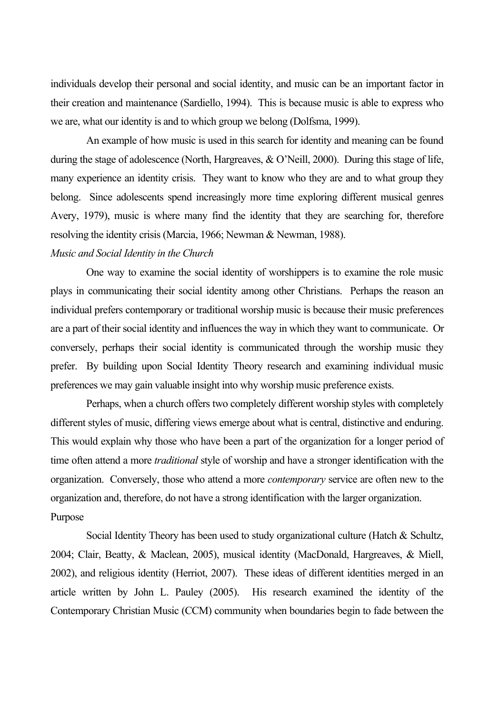individuals develop their personal and social identity, and music can be an important factor in their creation and maintenance (Sardiello, 1994). This is because music is able to express who we are, what our identity is and to which group we belong (Dolfsma, 1999).

An example of how music is used in this search for identity and meaning can be found during the stage of adolescence (North, Hargreaves, & O'Neill, 2000). During this stage of life, many experience an identity crisis. They want to know who they are and to what group they belong. Since adolescents spend increasingly more time exploring different musical genres Avery, 1979), music is where many find the identity that they are searching for, therefore resolving the identity crisis (Marcia, 1966; Newman & Newman, 1988).

#### *Music and Social Identity in the Church*

One way to examine the social identity of worshippers is to examine the role music plays in communicating their social identity among other Christians. Perhaps the reason an individual prefers contemporary or traditional worship music is because their music preferences are a part of their social identity and influences the way in which they want to communicate. Or conversely, perhaps their social identity is communicated through the worship music they prefer. By building upon Social Identity Theory research and examining individual music preferences we may gain valuable insight into why worship music preference exists.

Perhaps, when a church offers two completely different worship styles with completely different styles of music, differing views emerge about what is central, distinctive and enduring. This would explain why those who have been a part of the organization for a longer period of time often attend a more *traditional* style of worship and have a stronger identification with the organization. Conversely, those who attend a more *contemporary* service are often new to the organization and, therefore, do not have a strong identification with the larger organization. Purpose

Social Identity Theory has been used to study organizational culture (Hatch & Schultz, 2004; Clair, Beatty, & Maclean, 2005), musical identity (MacDonald, Hargreaves, & Miell, 2002), and religious identity (Herriot, 2007). These ideas of different identities merged in an article written by John L. Pauley (2005). His research examined the identity of the Contemporary Christian Music (CCM) community when boundaries begin to fade between the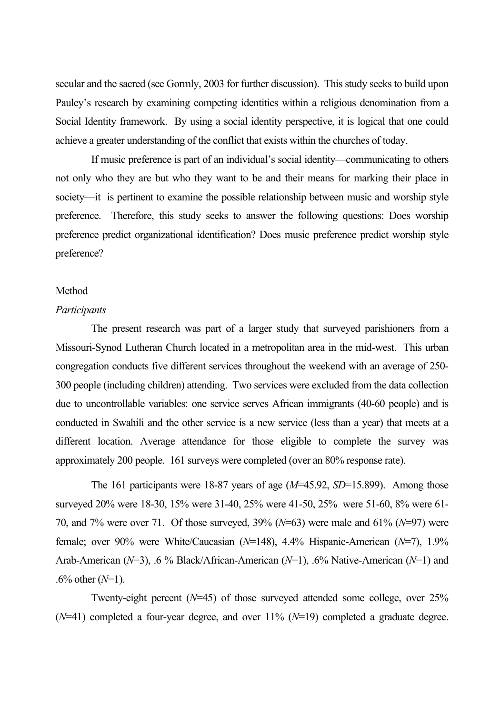secular and the sacred (see Gormly, 2003 for further discussion). This study seeks to build upon Pauley's research by examining competing identities within a religious denomination from a Social Identity framework. By using a social identity perspective, it is logical that one could achieve a greater understanding of the conflict that exists within the churches of today.

If music preference is part of an individual's social identity—communicating to others not only who they are but who they want to be and their means for marking their place in society—it is pertinent to examine the possible relationship between music and worship style preference. Therefore, this study seeks to answer the following questions: Does worship preference predict organizational identification? Does music preference predict worship style preference?

#### Method

#### *Participants*

The present research was part of a larger study that surveyed parishioners from a Missouri-Synod Lutheran Church located in a metropolitan area in the mid-west. This urban congregation conducts five different services throughout the weekend with an average of 250- 300 people (including children) attending. Two services were excluded from the data collection due to uncontrollable variables: one service serves African immigrants (40-60 people) and is conducted in Swahili and the other service is a new service (less than a year) that meets at a different location. Average attendance for those eligible to complete the survey was approximately 200 people. 161 surveys were completed (over an 80% response rate).

The 161 participants were 18-87 years of age (*M*=45.92, *SD*=15.899). Among those surveyed 20% were 18-30, 15% were 31-40, 25% were 41-50, 25% were 51-60, 8% were 61- 70, and 7% were over 71. Of those surveyed, 39% (*N*=63) were male and 61% (*N*=97) were female; over 90% were White/Caucasian (*N*=148), 4.4% Hispanic-American (*N*=7), 1.9% Arab-American (*N*=3), .6 % Black/African-American (*N*=1), .6% Native-American (*N*=1) and .6% other (*N*=1).

Twenty-eight percent (*N*=45) of those surveyed attended some college, over 25%  $(N=41)$  completed a four-year degree, and over 11%  $(N=19)$  completed a graduate degree.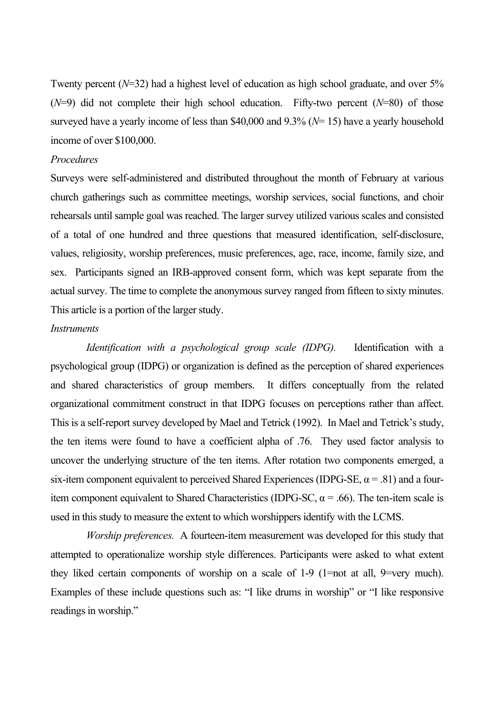Twenty percent (*N*=32) had a highest level of education as high school graduate, and over 5% (*N*=9) did not complete their high school education. Fifty-two percent (*N*=80) of those surveyed have a yearly income of less than \$40,000 and 9.3% (*N*= 15) have a yearly household income of over \$100,000.

#### *Procedures*

Surveys were self-administered and distributed throughout the month of February at various church gatherings such as committee meetings, worship services, social functions, and choir rehearsals until sample goal was reached. The larger survey utilized various scales and consisted of a total of one hundred and three questions that measured identification, self-disclosure, values, religiosity, worship preferences, music preferences, age, race, income, family size, and sex. Participants signed an IRB-approved consent form, which was kept separate from the actual survey. The time to complete the anonymous survey ranged from fifteen to sixty minutes. This article is a portion of the larger study.

#### *Instruments*

*Identification with a psychological group scale (IDPG).* Identification with a psychological group (IDPG) or organization is defined as the perception of shared experiences and shared characteristics of group members. It differs conceptually from the related organizational commitment construct in that IDPG focuses on perceptions rather than affect. This is a self-report survey developed by Mael and Tetrick (1992). In Mael and Tetrick's study, the ten items were found to have a coefficient alpha of .76. They used factor analysis to uncover the underlying structure of the ten items. After rotation two components emerged, a six-item component equivalent to perceived Shared Experiences (IDPG-SE,  $\alpha$  = .81) and a fouritem component equivalent to Shared Characteristics (IDPG-SC,  $\alpha$  = .66). The ten-item scale is used in this study to measure the extent to which worshippers identify with the LCMS.

*Worship preferences.* A fourteen-item measurement was developed for this study that attempted to operationalize worship style differences. Participants were asked to what extent they liked certain components of worship on a scale of 1-9 (1=not at all, 9=very much). Examples of these include questions such as: "I like drums in worship" or "I like responsive readings in worship."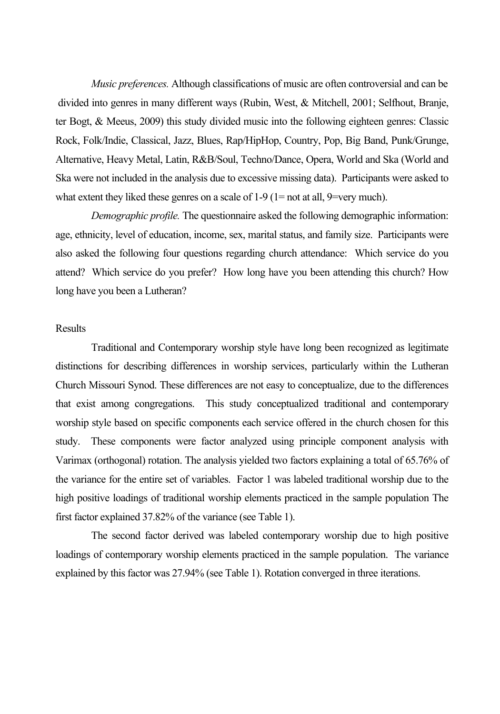*Music preferences.* Although classifications of music are often controversial and can be divided into genres in many different ways (Rubin, West, & Mitchell, 2001; Selfhout, Branje, ter Bogt, & Meeus, 2009) this study divided music into the following eighteen genres: Classic Rock, Folk/Indie, Classical, Jazz, Blues, Rap/HipHop, Country, Pop, Big Band, Punk/Grunge, Alternative, Heavy Metal, Latin, R&B/Soul, Techno/Dance, Opera, World and Ska (World and Ska were not included in the analysis due to excessive missing data). Participants were asked to what extent they liked these genres on a scale of 1-9 (1= not at all, 9=very much).

*Demographic profile.* The questionnaire asked the following demographic information: age, ethnicity, level of education, income, sex, marital status, and family size. Participants were also asked the following four questions regarding church attendance: Which service do you attend? Which service do you prefer? How long have you been attending this church? How long have you been a Lutheran?

#### Results

Traditional and Contemporary worship style have long been recognized as legitimate distinctions for describing differences in worship services, particularly within the Lutheran Church Missouri Synod. These differences are not easy to conceptualize, due to the differences that exist among congregations. This study conceptualized traditional and contemporary worship style based on specific components each service offered in the church chosen for this study. These components were factor analyzed using principle component analysis with Varimax (orthogonal) rotation. The analysis yielded two factors explaining a total of 65.76% of the variance for the entire set of variables. Factor 1 was labeled traditional worship due to the high positive loadings of traditional worship elements practiced in the sample population The first factor explained 37.82% of the variance (see Table 1).

The second factor derived was labeled contemporary worship due to high positive loadings of contemporary worship elements practiced in the sample population. The variance explained by this factor was 27.94% (see Table 1). Rotation converged in three iterations.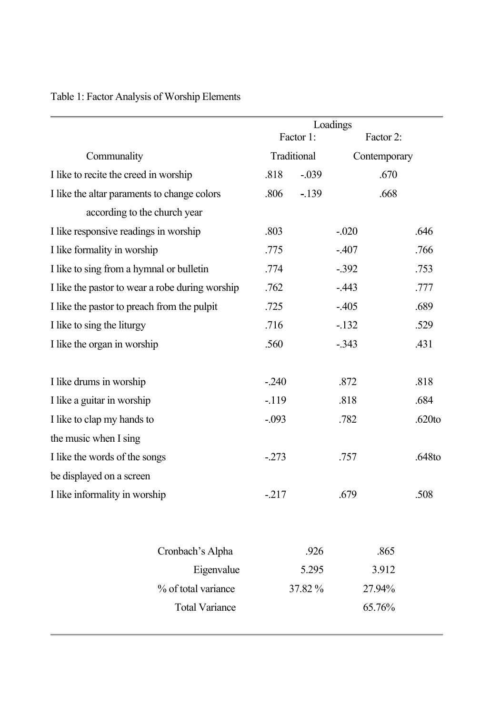|                                                 | Loadings                    |         |           |           |
|-------------------------------------------------|-----------------------------|---------|-----------|-----------|
|                                                 | Factor 1:                   |         | Factor 2: |           |
| Communality                                     | Traditional<br>Contemporary |         |           |           |
| I like to recite the creed in worship           | .818                        | $-.039$ | .670      |           |
| I like the altar paraments to change colors     | .806                        | $-139$  | .668      |           |
| according to the church year                    |                             |         |           |           |
| I like responsive readings in worship           | .803                        |         | $-.020$   | .646      |
| I like formality in worship                     | .775                        |         | $-.407$   | .766      |
| I like to sing from a hymnal or bulletin        | .774                        |         | $-.392$   | .753      |
| I like the pastor to wear a robe during worship | .762                        |         | $-.443$   | .777      |
| I like the pastor to preach from the pulpit     | .725                        |         | $-.405$   | .689      |
| I like to sing the liturgy                      | .716                        |         | $-132$    | .529      |
| I like the organ in worship                     | .560                        |         | $-.343$   | .431      |
| I like drums in worship                         | $-.240$                     |         | .872      | .818      |
| I like a guitar in worship                      | $-119$                      |         | .818      | .684      |
| I like to clap my hands to                      | $-.093$                     |         | .782      | $.620$ to |
| the music when I sing                           |                             |         |           |           |
| I like the words of the songs                   | $-273$                      |         | .757      | .648to    |
| be displayed on a screen                        |                             |         |           |           |
| I like informality in worship                   | $-217$                      |         | .679      | .508      |
| Cronbach's Alpha                                |                             | .926    | .865      |           |
| Eigenvalue                                      |                             | 5.295   | 3.912     |           |
| % of total variance                             |                             | 37.82%  | 27.94%    |           |
| <b>Total Variance</b>                           |                             |         | 65.76%    |           |

# Table 1: Factor Analysis of Worship Elements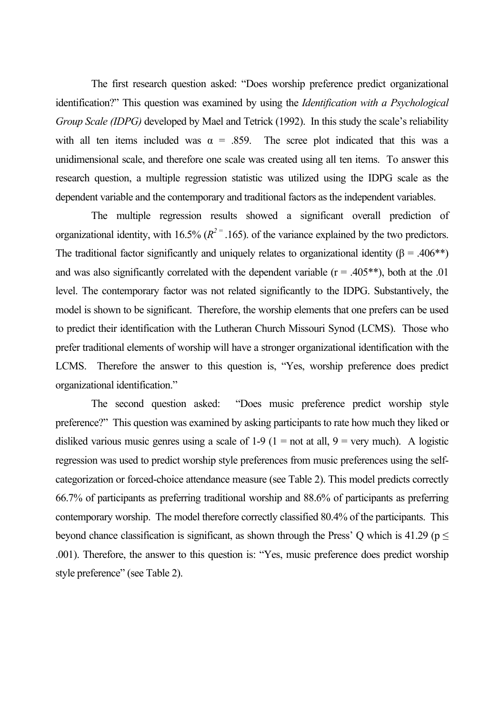The first research question asked: "Does worship preference predict organizational identification?" This question was examined by using the *Identification with a Psychological Group Scale (IDPG)* developed by Mael and Tetrick (1992). In this study the scale's reliability with all ten items included was  $\alpha = .859$ . The scree plot indicated that this was a unidimensional scale, and therefore one scale was created using all ten items. To answer this research question, a multiple regression statistic was utilized using the IDPG scale as the dependent variable and the contemporary and traditional factors as the independent variables.

The multiple regression results showed a significant overall prediction of organizational identity, with 16.5%  $(R^{2} = .165)$ . of the variance explained by the two predictors. The traditional factor significantly and uniquely relates to organizational identity ( $\beta$  = .406<sup>\*\*</sup>) and was also significantly correlated with the dependent variable ( $r = .405$ <sup>\*\*</sup>), both at the .01 level. The contemporary factor was not related significantly to the IDPG. Substantively, the model is shown to be significant. Therefore, the worship elements that one prefers can be used to predict their identification with the Lutheran Church Missouri Synod (LCMS). Those who prefer traditional elements of worship will have a stronger organizational identification with the LCMS. Therefore the answer to this question is, "Yes, worship preference does predict organizational identification."

The second question asked: "Does music preference predict worship style preference?" This question was examined by asking participants to rate how much they liked or disliked various music genres using a scale of  $1-9$  ( $1 =$  not at all,  $9 =$  very much). A logistic regression was used to predict worship style preferences from music preferences using the selfcategorization or forced-choice attendance measure (see Table 2). This model predicts correctly 66.7% of participants as preferring traditional worship and 88.6% of participants as preferring contemporary worship. The model therefore correctly classified 80.4% of the participants. This beyond chance classification is significant, as shown through the Press' Q which is 41.29 ( $p \le$ .001). Therefore, the answer to this question is: "Yes, music preference does predict worship style preference" (see Table 2).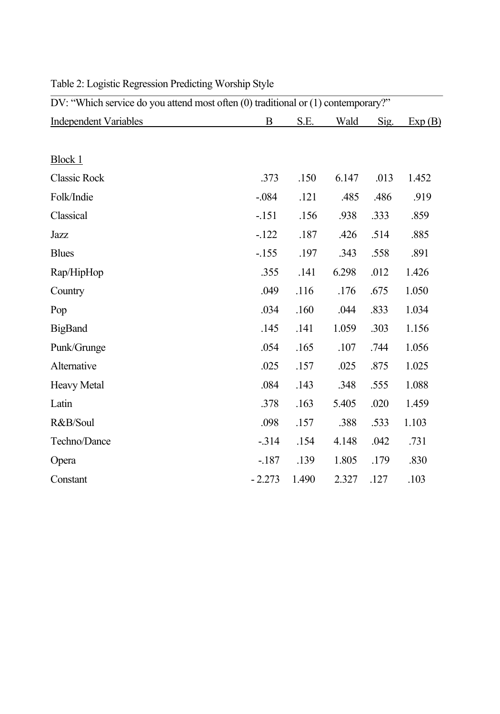| DV: "Which service do you attend most often (0) traditional or (1) contemporary?" |          |       |       |      |        |  |  |
|-----------------------------------------------------------------------------------|----------|-------|-------|------|--------|--|--|
| <b>Independent Variables</b>                                                      | B        | S.E.  | Wald  | Sig. | Exp(B) |  |  |
|                                                                                   |          |       |       |      |        |  |  |
| <b>Block 1</b>                                                                    |          |       |       |      |        |  |  |
| <b>Classic Rock</b>                                                               | .373     | .150  | 6.147 | .013 | 1.452  |  |  |
| Folk/Indie                                                                        | $-.084$  | .121  | .485  | .486 | .919   |  |  |
| Classical                                                                         | $-.151$  | .156  | .938  | .333 | .859   |  |  |
| Jazz                                                                              | $-122$   | .187  | .426  | .514 | .885   |  |  |
| <b>Blues</b>                                                                      | $-155$   | .197  | .343  | .558 | .891   |  |  |
| Rap/HipHop                                                                        | .355     | .141  | 6.298 | .012 | 1.426  |  |  |
| Country                                                                           | .049     | .116  | .176  | .675 | 1.050  |  |  |
| Pop                                                                               | .034     | .160  | .044  | .833 | 1.034  |  |  |
| <b>BigBand</b>                                                                    | .145     | .141  | 1.059 | .303 | 1.156  |  |  |
| Punk/Grunge                                                                       | .054     | .165  | .107  | .744 | 1.056  |  |  |
| Alternative                                                                       | .025     | .157  | .025  | .875 | 1.025  |  |  |
| Heavy Metal                                                                       | .084     | .143  | .348  | .555 | 1.088  |  |  |
| Latin                                                                             | .378     | .163  | 5.405 | .020 | 1.459  |  |  |
| R&B/Soul                                                                          | .098     | .157  | .388  | .533 | 1.103  |  |  |
| Techno/Dance                                                                      | $-314$   | .154  | 4.148 | .042 | .731   |  |  |
| Opera                                                                             | $-187$   | .139  | 1.805 | .179 | .830   |  |  |
| Constant                                                                          | $-2.273$ | 1.490 | 2.327 | .127 | .103   |  |  |

# Table 2: Logistic Regression Predicting Worship Style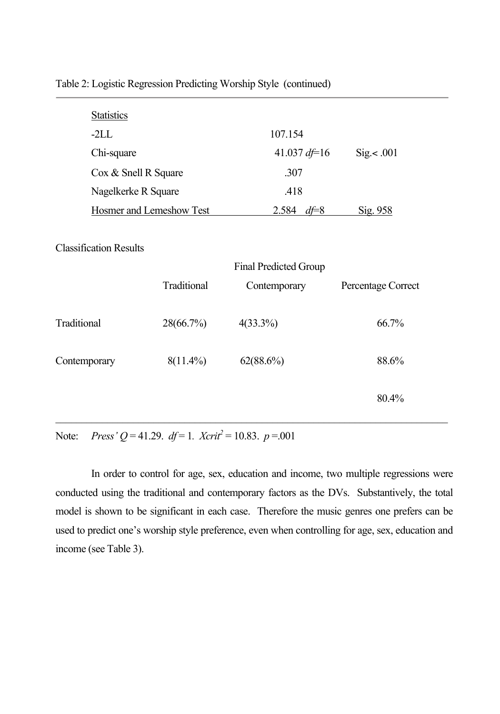| <b>Statistics</b>             |                          |                       |                    |
|-------------------------------|--------------------------|-----------------------|--------------------|
| $-2LL$                        |                          | 107.154               |                    |
| Chi-square                    |                          | 41.037 $df=16$        | Sig. < .001        |
| Cox & Snell R Square          |                          | .307                  |                    |
| Nagelkerke R Square           |                          | .418                  |                    |
|                               | Hosmer and Lemeshow Test | 2.584 $df=8$          | Sig. 958           |
|                               |                          |                       |                    |
| <b>Classification Results</b> |                          |                       |                    |
|                               |                          | Final Predicted Group |                    |
|                               | Traditional              | Contemporary          | Percentage Correct |
|                               |                          |                       |                    |
| Traditional                   | 28(66.7%)                | $4(33.3\%)$           | 66.7%              |
|                               |                          |                       |                    |
| Contemporary                  | $8(11.4\%)$              | 62(88.6%)             | 88.6%              |
|                               |                          |                       |                    |
|                               |                          |                       | 80.4%              |
|                               |                          |                       |                    |

Table 2: Logistic Regression Predicting Worship Style (continued)

Note: *Press'*  $Q = 41.29$ .  $df = 1$ .  $Xcrit^2 = 10.83$ .  $p = .001$ 

In order to control for age, sex, education and income, two multiple regressions were conducted using the traditional and contemporary factors as the DVs. Substantively, the total model is shown to be significant in each case. Therefore the music genres one prefers can be used to predict one's worship style preference, even when controlling for age, sex, education and income (see Table 3).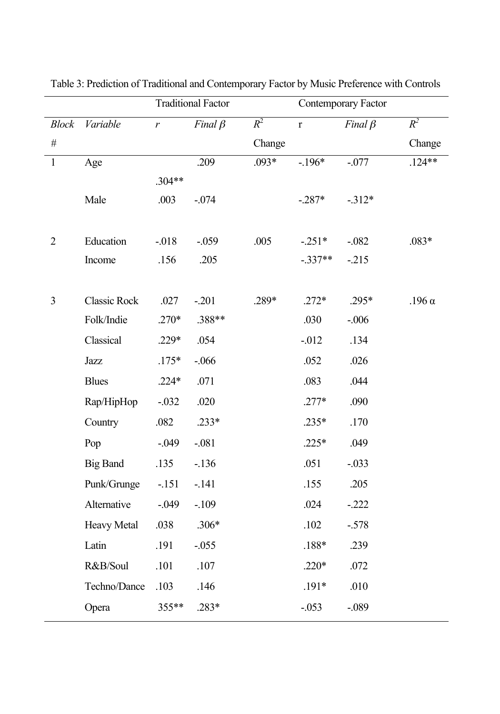|                |                     | <b>Traditional Factor</b> |               |         | Contemporary Factor |               |               |
|----------------|---------------------|---------------------------|---------------|---------|---------------------|---------------|---------------|
| <b>Block</b>   | Variable            | $\boldsymbol{r}$          | Final $\beta$ | $R^2$   | $\mathbf r$         | Final $\beta$ | $R^2$         |
| $\#$           |                     |                           |               | Change  |                     |               | Change        |
| $\mathbf{1}$   | Age                 |                           | .209          | $.093*$ | $-.196*$            | $-.077$       | $.124**$      |
|                |                     | $.304**$                  |               |         |                     |               |               |
|                | Male                | .003                      | $-0.074$      |         | $-.287*$            | $-312*$       |               |
|                |                     |                           |               |         |                     |               |               |
| $\overline{2}$ | Education           | $-0.018$                  | $-0.059$      | .005    | $-.251*$            | $-.082$       | $.083*$       |
|                | Income              | .156                      | .205          |         | $-.337**$           | $-215$        |               |
|                |                     |                           |               |         |                     |               |               |
| $\overline{3}$ | <b>Classic Rock</b> | .027                      | $-.201$       | .289*   | $.272*$             | .295*         | .196 $\alpha$ |
|                | Folk/Indie          | $.270*$                   | .388**        |         | .030                | $-.006$       |               |
|                | Classical           | .229*                     | .054          |         | $-0.012$            | .134          |               |
|                | Jazz                | $.175*$                   | $-0.066$      |         | .052                | .026          |               |
|                | <b>Blues</b>        | $.224*$                   | .071          |         | .083                | .044          |               |
|                | Rap/HipHop          | $-.032$                   | .020          |         | $.277*$             | .090          |               |
|                | Country             | .082                      | $.233*$       |         | $.235*$             | .170          |               |
|                | Pop                 | $-0.049$                  | $-.081$       |         | $.225*$             | .049          |               |
|                | <b>Big Band</b>     | .135                      | $-136$        |         | .051                | $-.033$       |               |
|                | Punk/Grunge         | $-151$                    | $-.141$       |         | .155                | .205          |               |
|                | Alternative         | $-0.049$                  | $-.109$       |         | .024                | $-.222$       |               |
|                | <b>Heavy Metal</b>  | .038                      | $.306*$       |         | .102                | $-.578$       |               |
|                | Latin               | .191                      | $-.055$       |         | $.188*$             | .239          |               |
|                | R&B/Soul            | .101                      | .107          |         | $.220*$             | .072          |               |
|                | Techno/Dance        | .103                      | .146          |         | $.191*$             | .010          |               |
|                | Opera               | 355**                     | .283*         |         | $-.053$             | $-.089$       |               |
|                |                     |                           |               |         |                     |               |               |

Table 3: Prediction of Traditional and Contemporary Factor by Music Preference with Controls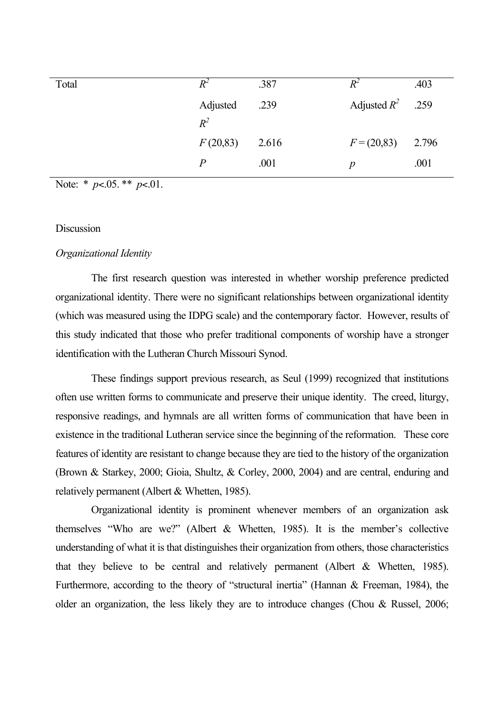| Total | $R^2$    | .387  | $R^2$               | .403 |
|-------|----------|-------|---------------------|------|
|       | Adjusted | .239  | Adjusted $R^2$ .259 |      |
|       | $R^2$    |       |                     |      |
|       | F(20,83) | 2.616 | $F = (20,83)$ 2.796 |      |
|       | P        | .001  | p                   | .001 |

Note: \* *p*<.05. \*\* *p*<.01.

#### **Discussion**

#### *Organizational Identity*

The first research question was interested in whether worship preference predicted organizational identity. There were no significant relationships between organizational identity (which was measured using the IDPG scale) and the contemporary factor. However, results of this study indicated that those who prefer traditional components of worship have a stronger identification with the Lutheran Church Missouri Synod.

These findings support previous research, as Seul (1999) recognized that institutions often use written forms to communicate and preserve their unique identity. The creed, liturgy, responsive readings, and hymnals are all written forms of communication that have been in existence in the traditional Lutheran service since the beginning of the reformation. These core features of identity are resistant to change because they are tied to the history of the organization (Brown & Starkey, 2000; Gioia, Shultz, & Corley, 2000, 2004) and are central, enduring and relatively permanent (Albert & Whetten, 1985).

Organizational identity is prominent whenever members of an organization ask themselves "Who are we?" (Albert & Whetten, 1985). It is the member's collective understanding of what it is that distinguishes their organization from others, those characteristics that they believe to be central and relatively permanent (Albert & Whetten, 1985). Furthermore, according to the theory of "structural inertia" (Hannan & Freeman, 1984), the older an organization, the less likely they are to introduce changes (Chou & Russel, 2006;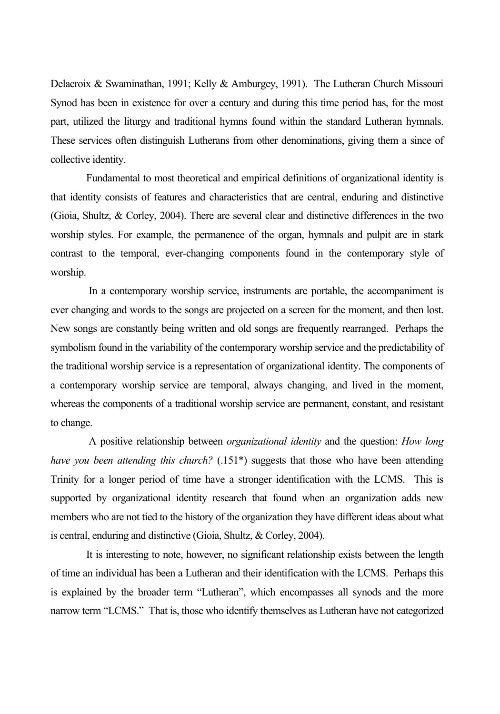Delacroix & Swaminathan, 1991; Kelly & Amburgey, 1991). The Lutheran Church Missouri Synod has been in existence for over a century and during this time period has, for the most part, utilized the liturgy and traditional hymns found within the standard Lutheran hymnals. These services often distinguish Lutherans from other denominations, giving them a since of collective identity.

Fundamental to most theoretical and empirical definitions of organizational identity is that identity consists of features and characteristics that are central, enduring and distinctive (Gioia, Shultz, & Corley, 2004). There are several clear and distinctive differences in the two worship styles. For example, the permanence of the organ, hymnals and pulpit are in stark contrast to the temporal, ever-changing components found in the contemporary style of worship.

 In a contemporary worship service, instruments are portable, the accompaniment is ever changing and words to the songs are projected on a screen for the moment, and then lost. New songs are constantly being written and old songs are frequently rearranged. Perhaps the symbolism found in the variability of the contemporary worship service and the predictability of the traditional worship service is a representation of organizational identity. The components of a contemporary worship service are temporal, always changing, and lived in the moment, whereas the components of a traditional worship service are permanent, constant, and resistant to change.

 A positive relationship between *organizational identity* and the question: *How long have you been attending this church?* (.151<sup>\*</sup>) suggests that those who have been attending Trinity for a longer period of time have a stronger identification with the LCMS. This is supported by organizational identity research that found when an organization adds new members who are not tied to the history of the organization they have different ideas about what is central, enduring and distinctive (Gioia, Shultz, & Corley, 2004).

It is interesting to note, however, no significant relationship exists between the length of time an individual has been a Lutheran and their identification with the LCMS. Perhaps this is explained by the broader term "Lutheran", which encompasses all synods and the more narrow term "LCMS." That is, those who identify themselves as Lutheran have not categorized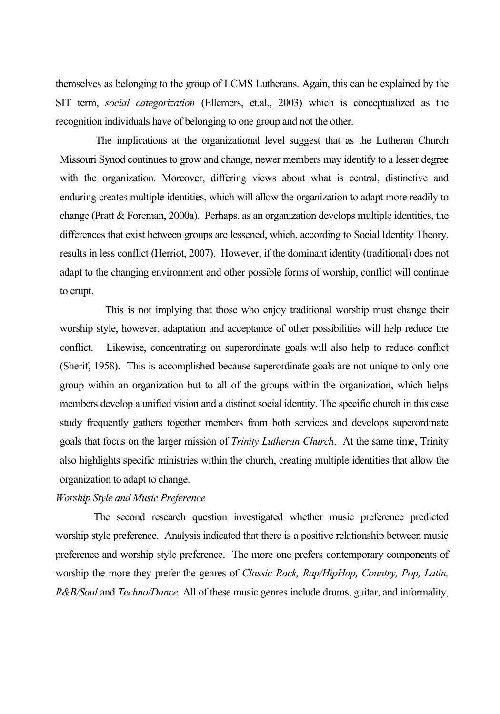themselves as belonging to the group of LCMS Lutherans. Again, this can be explained by the SIT term, *social categorization* (Ellemers, et.al., 2003) which is conceptualized as the recognition individuals have of belonging to one group and not the other.

The implications at the organizational level suggest that as the Lutheran Church Missouri Synod continues to grow and change, newer members may identify to a lesser degree with the organization. Moreover, differing views about what is central, distinctive and enduring creates multiple identities, which will allow the organization to adapt more readily to change (Pratt & Foreman, 2000a). Perhaps, as an organization develops multiple identities, the differences that exist between groups are lessened, which, according to Social Identity Theory, results in less conflict (Herriot, 2007). However, if the dominant identity (traditional) does not adapt to the changing environment and other possible forms of worship, conflict will continue to erupt.

 This is not implying that those who enjoy traditional worship must change their worship style, however, adaptation and acceptance of other possibilities will help reduce the conflict. Likewise, concentrating on superordinate goals will also help to reduce conflict (Sherif, 1958). This is accomplished because superordinate goals are not unique to only one group within an organization but to all of the groups within the organization, which helps members develop a unified vision and a distinct social identity. The specific church in this case study frequently gathers together members from both services and develops superordinate goals that focus on the larger mission of *Trinity Lutheran Church*. At the same time, Trinity also highlights specific ministries within the church, creating multiple identities that allow the organization to adapt to change.

#### *Worship Style and Music Preference*

 The second research question investigated whether music preference predicted worship style preference. Analysis indicated that there is a positive relationship between music preference and worship style preference. The more one prefers contemporary components of worship the more they prefer the genres of *Classic Rock, Rap/HipHop, Country, Pop, Latin, R&B/Soul* and *Techno/Dance.* All of these music genres include drums, guitar, and informality,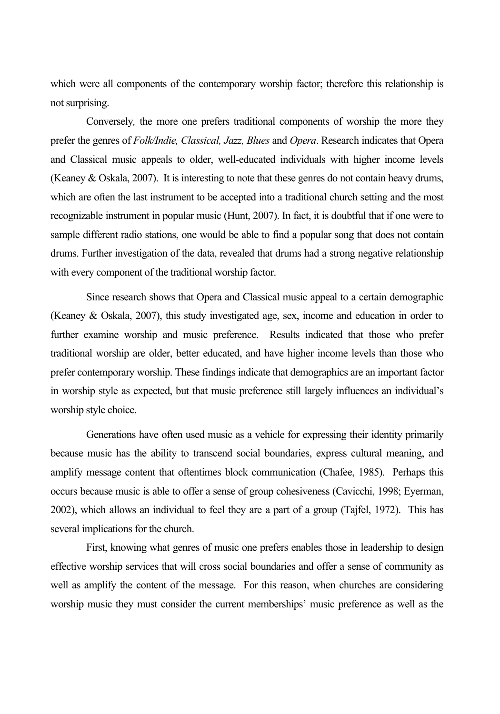which were all components of the contemporary worship factor; therefore this relationship is not surprising.

Conversely*,* the more one prefers traditional components of worship the more they prefer the genres of *Folk/Indie, Classical, Jazz, Blues* and *Opera*. Research indicates that Opera and Classical music appeals to older, well-educated individuals with higher income levels (Keaney & Oskala, 2007). It is interesting to note that these genres do not contain heavy drums, which are often the last instrument to be accepted into a traditional church setting and the most recognizable instrument in popular music (Hunt, 2007). In fact, it is doubtful that if one were to sample different radio stations, one would be able to find a popular song that does not contain drums. Further investigation of the data, revealed that drums had a strong negative relationship with every component of the traditional worship factor.

Since research shows that Opera and Classical music appeal to a certain demographic (Keaney & Oskala, 2007), this study investigated age, sex, income and education in order to further examine worship and music preference. Results indicated that those who prefer traditional worship are older, better educated, and have higher income levels than those who prefer contemporary worship. These findings indicate that demographics are an important factor in worship style as expected, but that music preference still largely influences an individual's worship style choice.

Generations have often used music as a vehicle for expressing their identity primarily because music has the ability to transcend social boundaries, express cultural meaning, and amplify message content that oftentimes block communication (Chafee, 1985). Perhaps this occurs because music is able to offer a sense of group cohesiveness (Cavicchi, 1998; Eyerman, 2002), which allows an individual to feel they are a part of a group (Tajfel, 1972). This has several implications for the church.

First, knowing what genres of music one prefers enables those in leadership to design effective worship services that will cross social boundaries and offer a sense of community as well as amplify the content of the message. For this reason, when churches are considering worship music they must consider the current memberships' music preference as well as the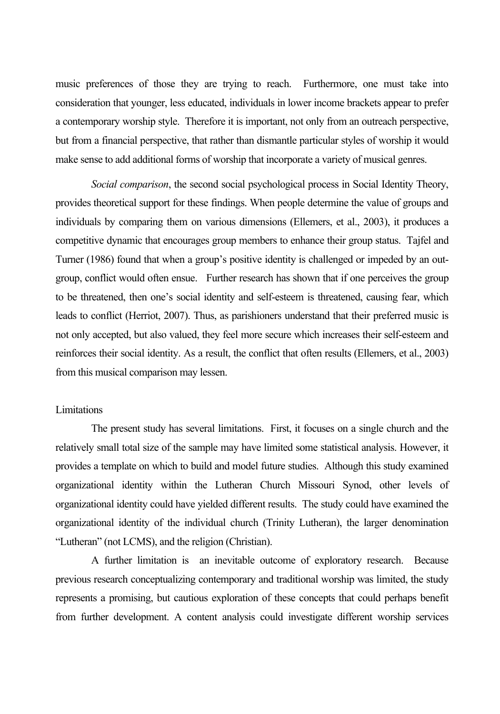music preferences of those they are trying to reach. Furthermore, one must take into consideration that younger, less educated, individuals in lower income brackets appear to prefer a contemporary worship style. Therefore it is important, not only from an outreach perspective, but from a financial perspective, that rather than dismantle particular styles of worship it would make sense to add additional forms of worship that incorporate a variety of musical genres.

*Social comparison*, the second social psychological process in Social Identity Theory, provides theoretical support for these findings. When people determine the value of groups and individuals by comparing them on various dimensions (Ellemers, et al., 2003), it produces a competitive dynamic that encourages group members to enhance their group status. Tajfel and Turner (1986) found that when a group's positive identity is challenged or impeded by an outgroup, conflict would often ensue. Further research has shown that if one perceives the group to be threatened, then one's social identity and self-esteem is threatened, causing fear, which leads to conflict (Herriot, 2007). Thus, as parishioners understand that their preferred music is not only accepted, but also valued, they feel more secure which increases their self-esteem and reinforces their social identity. As a result, the conflict that often results (Ellemers, et al., 2003) from this musical comparison may lessen.

#### Limitations

The present study has several limitations. First, it focuses on a single church and the relatively small total size of the sample may have limited some statistical analysis. However, it provides a template on which to build and model future studies. Although this study examined organizational identity within the Lutheran Church Missouri Synod, other levels of organizational identity could have yielded different results. The study could have examined the organizational identity of the individual church (Trinity Lutheran), the larger denomination "Lutheran" (not LCMS), and the religion (Christian).

A further limitation is an inevitable outcome of exploratory research. Because previous research conceptualizing contemporary and traditional worship was limited, the study represents a promising, but cautious exploration of these concepts that could perhaps benefit from further development. A content analysis could investigate different worship services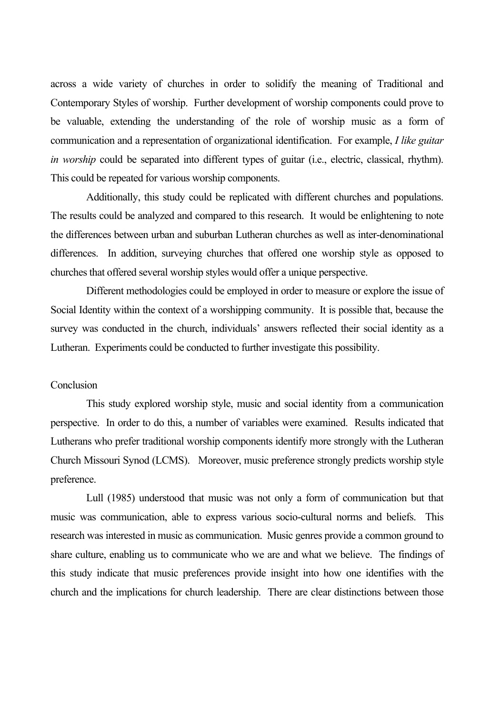across a wide variety of churches in order to solidify the meaning of Traditional and Contemporary Styles of worship. Further development of worship components could prove to be valuable, extending the understanding of the role of worship music as a form of communication and a representation of organizational identification. For example, *I like guitar in worship* could be separated into different types of guitar (i.e., electric, classical, rhythm). This could be repeated for various worship components.

Additionally, this study could be replicated with different churches and populations. The results could be analyzed and compared to this research. It would be enlightening to note the differences between urban and suburban Lutheran churches as well as inter-denominational differences. In addition, surveying churches that offered one worship style as opposed to churches that offered several worship styles would offer a unique perspective.

Different methodologies could be employed in order to measure or explore the issue of Social Identity within the context of a worshipping community. It is possible that, because the survey was conducted in the church, individuals' answers reflected their social identity as a Lutheran. Experiments could be conducted to further investigate this possibility.

#### **Conclusion**

This study explored worship style, music and social identity from a communication perspective. In order to do this, a number of variables were examined. Results indicated that Lutherans who prefer traditional worship components identify more strongly with the Lutheran Church Missouri Synod (LCMS). Moreover, music preference strongly predicts worship style preference.

Lull (1985) understood that music was not only a form of communication but that music was communication, able to express various socio-cultural norms and beliefs. This research was interested in music as communication. Music genres provide a common ground to share culture, enabling us to communicate who we are and what we believe. The findings of this study indicate that music preferences provide insight into how one identifies with the church and the implications for church leadership. There are clear distinctions between those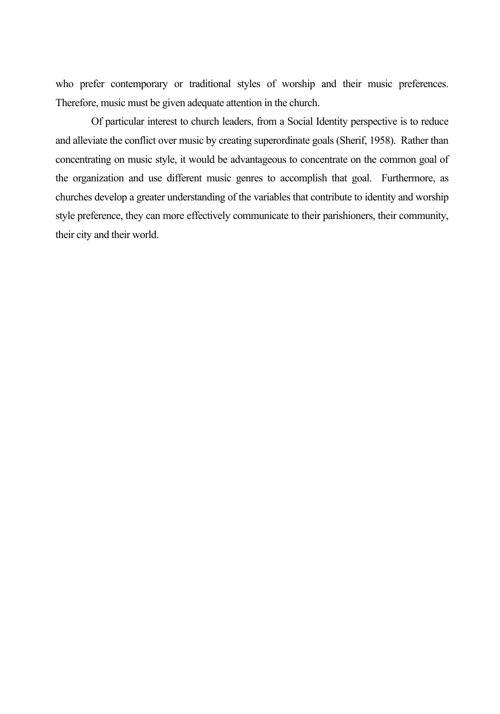who prefer contemporary or traditional styles of worship and their music preferences. Therefore, music must be given adequate attention in the church.

Of particular interest to church leaders, from a Social Identity perspective is to reduce and alleviate the conflict over music by creating superordinate goals (Sherif, 1958). Rather than concentrating on music style, it would be advantageous to concentrate on the common goal of the organization and use different music genres to accomplish that goal. Furthermore, as churches develop a greater understanding of the variables that contribute to identity and worship style preference, they can more effectively communicate to their parishioners, their community, their city and their world.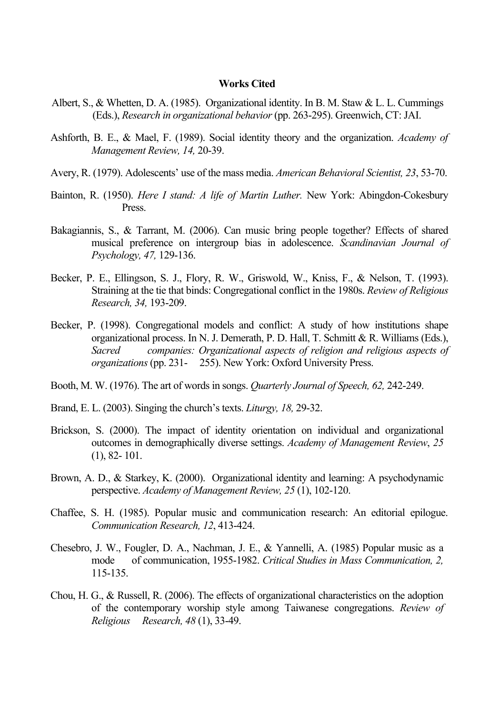#### **Works Cited**

- Albert, S., & Whetten, D. A. (1985). Organizational identity. In B. M. Staw & L. L. Cummings (Eds.), *Research in organizational behavior* (pp. 263-295). Greenwich, CT: JAI.
- Ashforth, B. E., & Mael, F. (1989). Social identity theory and the organization. *Academy of Management Review, 14,* 20-39.
- Avery, R. (1979). Adolescents' use of the mass media. *American Behavioral Scientist, 23*, 53-70.
- Bainton, R. (1950). *Here I stand: A life of Martin Luther.* New York: Abingdon-Cokesbury Press.
- Bakagiannis, S., & Tarrant, M. (2006). Can music bring people together? Effects of shared musical preference on intergroup bias in adolescence. *Scandinavian Journal of Psychology, 47,* 129-136.
- Becker, P. E., Ellingson, S. J., Flory, R. W., Griswold, W., Kniss, F., & Nelson, T. (1993). Straining at the tie that binds: Congregational conflict in the 1980s. *Review of Religious Research, 34,* 193-209.
- Becker, P. (1998). Congregational models and conflict: A study of how institutions shape organizational process. In N. J. Demerath, P. D. Hall, T. Schmitt & R. Williams (Eds.), *Sacred companies: Organizational aspects of religion and religious aspects of organizations* (pp. 231- 255). New York: Oxford University Press.
- Booth, M. W. (1976). The art of words in songs. *Quarterly Journal of Speech, 62,* 242-249.
- Brand, E. L. (2003). Singing the church's texts. *Liturgy, 18,* 29-32.
- Brickson, S. (2000). The impact of identity orientation on individual and organizational outcomes in demographically diverse settings. *Academy of Management Review*, *25* (1), 82- 101.
- Brown, A. D., & Starkey, K. (2000). Organizational identity and learning: A psychodynamic perspective. *Academy of Management Review, 25* (1), 102-120.
- Chaffee, S. H. (1985). Popular music and communication research: An editorial epilogue. *Communication Research, 12*, 413-424.
- Chesebro, J. W., Fougler, D. A., Nachman, J. E., & Yannelli, A. (1985) Popular music as a mode of communication, 1955-1982. *Critical Studies in Mass Communication, 2,*  115-135.
- Chou, H. G., & Russell, R. (2006). The effects of organizational characteristics on the adoption of the contemporary worship style among Taiwanese congregations. *Review of Religious Research, 48* (1), 33-49.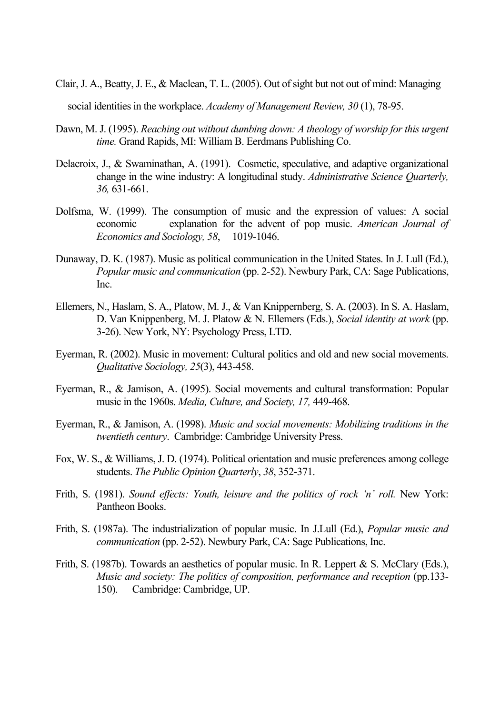Clair, J. A., Beatty, J. E., & Maclean, T. L. (2005). Out of sight but not out of mind: Managing

social identities in the workplace. *Academy of Management Review, 30* (1), 78-95.

- Dawn, M. J. (1995). *Reaching out without dumbing down: A theology of worship for this urgent time.* Grand Rapids, MI: William B. Eerdmans Publishing Co.
- Delacroix, J., & Swaminathan, A. (1991). Cosmetic, speculative, and adaptive organizational change in the wine industry: A longitudinal study. *Administrative Science Quarterly, 36,* 631-661.
- Dolfsma, W. (1999). The consumption of music and the expression of values: A social economic explanation for the advent of pop music. *American Journal of Economics and Sociology, 58*, 1019-1046.
- Dunaway, D. K. (1987). Music as political communication in the United States. In J. Lull (Ed.), *Popular music and communication* (pp. 2-52). Newbury Park, CA: Sage Publications, Inc.
- Ellemers, N., Haslam, S. A., Platow, M. J., & Van Knippernberg, S. A. (2003). In S. A. Haslam, D. Van Knippenberg, M. J. Platow & N. Ellemers (Eds.), *Social identity at work* (pp. 3-26). New York, NY: Psychology Press, LTD.
- Eyerman, R. (2002). Music in movement: Cultural politics and old and new social movements. *Qualitative Sociology, 25*(3), 443-458.
- Eyerman, R., & Jamison, A. (1995). Social movements and cultural transformation: Popular music in the 1960s. *Media, Culture, and Society, 17,* 449-468.
- Eyerman, R., & Jamison, A. (1998). *Music and social movements: Mobilizing traditions in the twentieth century*. Cambridge: Cambridge University Press.
- Fox, W. S., & Williams, J. D. (1974). Political orientation and music preferences among college students. *The Public Opinion Quarterly*, *38*, 352-371.
- Frith, S. (1981). *Sound effects: Youth, leisure and the politics of rock 'n' roll.* New York: Pantheon Books.
- Frith, S. (1987a). The industrialization of popular music. In J.Lull (Ed.), *Popular music and communication* (pp. 2-52). Newbury Park, CA: Sage Publications, Inc.
- Frith, S. (1987b). Towards an aesthetics of popular music. In R. Leppert & S. McClary (Eds.), *Music and society: The politics of composition, performance and reception* (pp.133- 150). Cambridge: Cambridge, UP.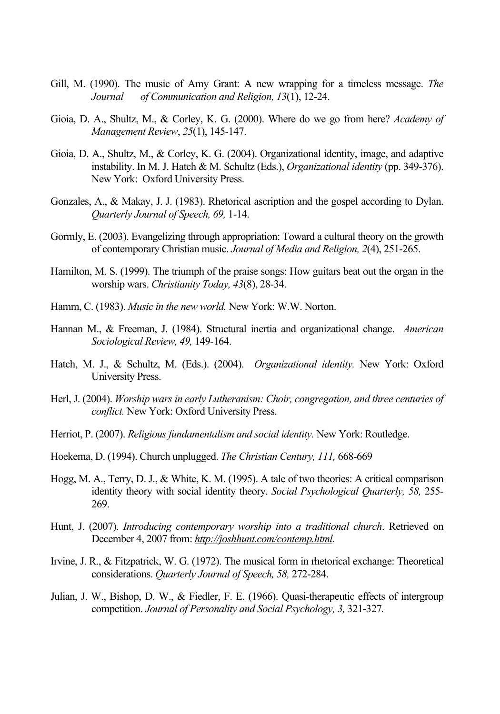- Gill, M. (1990). The music of Amy Grant: A new wrapping for a timeless message. *The Journal of Communication and Religion, 13*(1), 12-24.
- Gioia, D. A., Shultz, M., & Corley, K. G. (2000). Where do we go from here? *Academy of Management Review*, *25*(1), 145-147.
- Gioia, D. A., Shultz, M., & Corley, K. G. (2004). Organizational identity, image, and adaptive instability. In M. J. Hatch & M. Schultz (Eds.), *Organizational identity* (pp. 349-376). New York: Oxford University Press.
- Gonzales, A., & Makay, J. J. (1983). Rhetorical ascription and the gospel according to Dylan. *Quarterly Journal of Speech, 69,* 1-14.
- Gormly, E. (2003). Evangelizing through appropriation: Toward a cultural theory on the growth of contemporary Christian music. *Journal of Media and Religion, 2*(4), 251-265.
- Hamilton, M. S. (1999). The triumph of the praise songs: How guitars beat out the organ in the worship wars. *Christianity Today, 43*(8), 28-34.
- Hamm, C. (1983). *Music in the new world.* New York: W.W. Norton.
- Hannan M., & Freeman, J. (1984). Structural inertia and organizational change. *American Sociological Review, 49,* 149-164.
- Hatch, M. J., & Schultz, M. (Eds.). (2004). *Organizational identity.* New York: Oxford University Press.
- Herl, J. (2004). *Worship wars in early Lutheranism: Choir, congregation, and three centuries of conflict.* New York: Oxford University Press.
- Herriot, P. (2007). *Religious fundamentalism and social identity.* New York: Routledge.
- Hoekema, D. (1994). Church unplugged. *The Christian Century, 111,* 668-669
- Hogg, M. A., Terry, D. J., & White, K. M. (1995). A tale of two theories: A critical comparison identity theory with social identity theory. *Social Psychological Quarterly, 58,* 255- 269.
- Hunt, J. (2007). *Introducing contemporary worship into a traditional church*. Retrieved on December 4, 2007 from: *http://joshhunt.com/contemp.html*.
- Irvine, J. R., & Fitzpatrick, W. G. (1972). The musical form in rhetorical exchange: Theoretical considerations. *Quarterly Journal of Speech, 58,* 272-284.
- Julian, J. W., Bishop, D. W., & Fiedler, F. E. (1966). Quasi-therapeutic effects of intergroup competition. *Journal of Personality and Social Psychology, 3,* 321-327*.*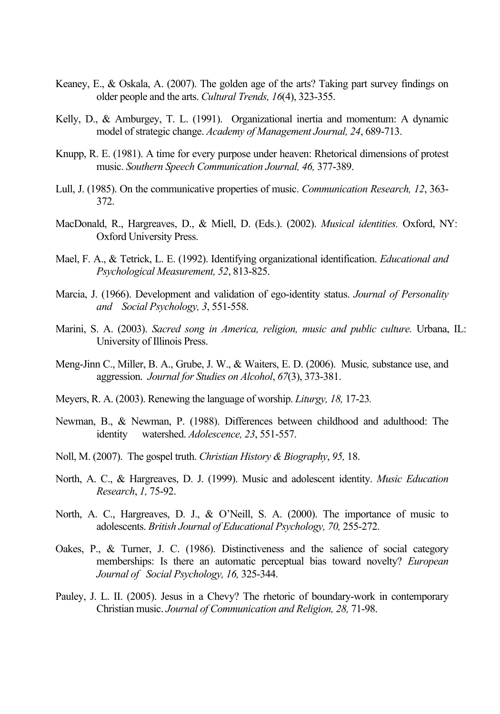- Keaney, E., & Oskala, A. (2007). The golden age of the arts? Taking part survey findings on older people and the arts. *Cultural Trends, 16*(4), 323-355.
- Kelly, D., & Amburgey, T. L. (1991). Organizational inertia and momentum: A dynamic model of strategic change. *Academy of Management Journal, 24*, 689-713.
- Knupp, R. E. (1981). A time for every purpose under heaven: Rhetorical dimensions of protest music. *Southern Speech Communication Journal, 46,* 377-389.
- Lull, J. (1985). On the communicative properties of music. *Communication Research, 12*, 363- 372.
- MacDonald, R., Hargreaves, D., & Miell, D. (Eds.). (2002). *Musical identities.* Oxford, NY: Oxford University Press.
- Mael, F. A., & Tetrick, L. E. (1992). Identifying organizational identification. *Educational and Psychological Measurement, 52*, 813-825.
- Marcia, J. (1966). Development and validation of ego-identity status. *Journal of Personality and Social Psychology, 3*, 551-558.
- Marini, S. A. (2003). *Sacred song in America, religion, music and public culture.* Urbana, IL: University of Illinois Press.
- Meng-Jinn C., Miller, B. A., Grube, J. W., & Waiters, E. D. (2006). Music*,* substance use, and aggression. *Journal for Studies on Alcohol*, *67*(3), 373-381.
- Meyers, R. A. (2003). Renewing the language of worship. *Liturgy, 18,* 17-23*.*
- Newman, B., & Newman, P. (1988). Differences between childhood and adulthood: The identity watershed. *Adolescence, 23*, 551-557.
- Noll, M. (2007). The gospel truth. *Christian History & Biography*, *95,* 18.
- North, A. C., & Hargreaves, D. J. (1999). Music and adolescent identity. *Music Education Research*, *1,* 75-92.
- North, A. C., Hargreaves, D. J., & O'Neill, S. A. (2000). The importance of music to adolescents. *British Journal of Educational Psychology, 70,* 255-272.
- Oakes, P., & Turner, J. C. (1986). Distinctiveness and the salience of social category memberships: Is there an automatic perceptual bias toward novelty? *European Journal of Social Psychology, 16,* 325-344.
- Pauley, J. L. II. (2005). Jesus in a Chevy? The rhetoric of boundary-work in contemporary Christian music. *Journal of Communication and Religion, 28,* 71-98.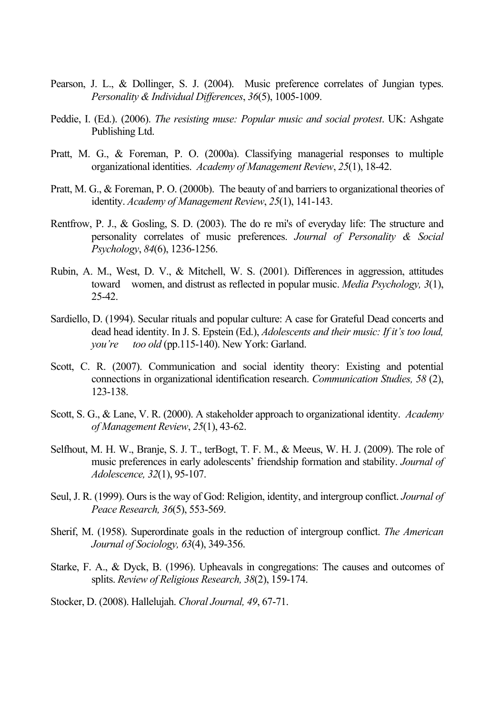- Pearson, J. L., & Dollinger, S. J. (2004). Music preference correlates of Jungian types. *Personality & Individual Differences*, *36*(5), 1005-1009.
- Peddie, I. (Ed.). (2006). *The resisting muse: Popular music and social protest*. UK: Ashgate Publishing Ltd.
- Pratt, M. G., & Foreman, P. O. (2000a). Classifying managerial responses to multiple organizational identities. *Academy of Management Review*, *25*(1), 18-42.
- Pratt, M. G., & Foreman, P. O. (2000b). The beauty of and barriers to organizational theories of identity. *Academy of Management Review*, *25*(1), 141-143.
- Rentfrow, P. J., & Gosling, S. D. (2003). The do re mi's of everyday life: The structure and personality correlates of music preferences. *Journal of Personality & Social Psychology*, *84*(6), 1236-1256.
- Rubin, A. M., West, D. V., & Mitchell, W. S. (2001). Differences in aggression, attitudes toward women, and distrust as reflected in popular music. *Media Psychology, 3*(1), 25-42.
- Sardiello, D. (1994). Secular rituals and popular culture: A case for Grateful Dead concerts and dead head identity. In J. S. Epstein (Ed.), *Adolescents and their music: If it's too loud, you're too old* (pp.115-140). New York: Garland.
- Scott, C. R. (2007). Communication and social identity theory: Existing and potential connections in organizational identification research. *Communication Studies, 58* (2), 123-138.
- Scott, S. G., & Lane, V. R. (2000). A stakeholder approach to organizational identity. *Academy of Management Review*, *25*(1), 43-62.
- Selfhout, M. H. W., Branje, S. J. T., terBogt, T. F. M., & Meeus, W. H. J. (2009). The role of music preferences in early adolescents' friendship formation and stability. *Journal of Adolescence, 32*(1), 95-107.
- Seul, J. R. (1999). Ours is the way of God: Religion, identity, and intergroup conflict. *Journal of Peace Research, 36*(5), 553-569.
- Sherif, M. (1958). Superordinate goals in the reduction of intergroup conflict. *The American Journal of Sociology, 63*(4), 349-356.
- Starke, F. A., & Dyck, B. (1996). Upheavals in congregations: The causes and outcomes of splits. *Review of Religious Research, 38*(2), 159-174.
- Stocker, D. (2008). Hallelujah. *Choral Journal, 49*, 67-71.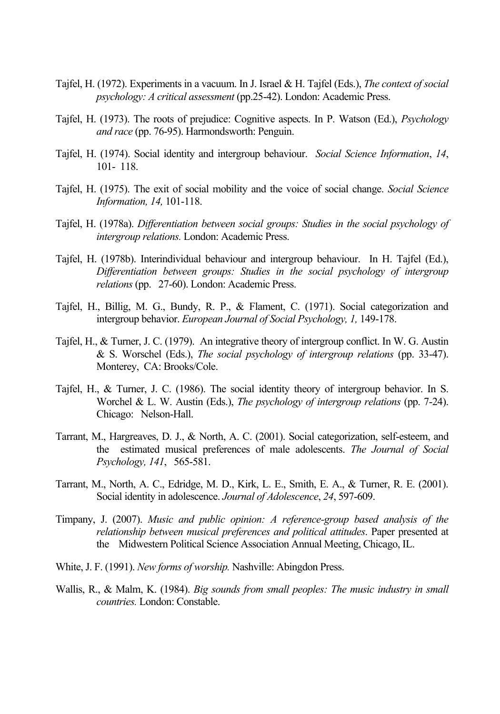- Tajfel, H. (1972). Experiments in a vacuum. In J. Israel & H. Tajfel (Eds.), *The context of social psychology: A critical assessment* (pp.25-42). London: Academic Press.
- Tajfel, H. (1973). The roots of prejudice: Cognitive aspects. In P. Watson (Ed.), *Psychology and race* (pp. 76-95). Harmondsworth: Penguin.
- Tajfel, H. (1974). Social identity and intergroup behaviour. *Social Science Information*, *14*, 101- 118.
- Tajfel, H. (1975). The exit of social mobility and the voice of social change. *Social Science Information, 14,* 101-118.
- Tajfel, H. (1978a). *Differentiation between social groups: Studies in the social psychology of intergroup relations.* London: Academic Press.
- Tajfel, H. (1978b). Interindividual behaviour and intergroup behaviour. In H. Tajfel (Ed.), *Differentiation between groups: Studies in the social psychology of intergroup relations* (pp. 27-60). London: Academic Press.
- Tajfel, H., Billig, M. G., Bundy, R. P., & Flament, C. (1971). Social categorization and intergroup behavior. *European Journal of Social Psychology, 1,* 149-178.
- Tajfel, H., & Turner, J. C. (1979). An integrative theory of intergroup conflict. In W. G. Austin & S. Worschel (Eds.), *The social psychology of intergroup relations* (pp. 33-47). Monterey, CA: Brooks/Cole.
- Tajfel, H., & Turner, J. C. (1986). The social identity theory of intergroup behavior. In S. Worchel & L. W. Austin (Eds.), *The psychology of intergroup relations* (pp. 7-24). Chicago: Nelson-Hall.
- Tarrant, M., Hargreaves, D. J., & North, A. C. (2001). Social categorization, self-esteem, and the estimated musical preferences of male adolescents. *The Journal of Social Psychology, 141*, 565-581.
- Tarrant, M., North, A. C., Edridge, M. D., Kirk, L. E., Smith, E. A., & Turner, R. E. (2001). Social identity in adolescence. *Journal of Adolescence*, *24*, 597-609.
- Timpany, J. (2007). *Music and public opinion: A reference-group based analysis of the relationship between musical preferences and political attitudes*. Paper presented at the Midwestern Political Science Association Annual Meeting, Chicago, IL.
- White, J. F. (1991). *New forms of worship.* Nashville: Abingdon Press.
- Wallis, R., & Malm, K. (1984). *Big sounds from small peoples: The music industry in small countries.* London: Constable.